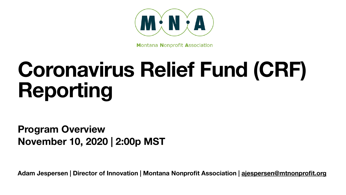

**Montana Nonprofit Association** 

**Adam Jespersen | Director of Innovation | Montana Nonprofit Association | [ajespersen@mtnonprofit.org](mailto:ajespersen@mtnonprofit.org)**

# **Coronavirus Relief Fund (CRF) Reporting**

### **Program Overview November 10, 2020 | 2:00p MST**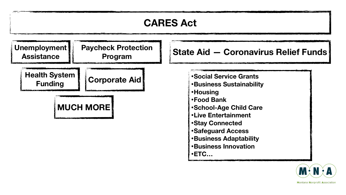### **CARES Act**



- **•Social Service Grants**
- **•Business Sustainability**
- **•Housing**
- **•Food Bank**
- **•School-Age Child Care**
- **•Live Entertainment**
- **•Stay Connected**
- **•Safeguard Access**
- **•Business Adaptability**
- **•Business Innovation**
- **•ETC…**





**MUCH MORE**

### **Program State Aid — Coronavirus Relief Funds**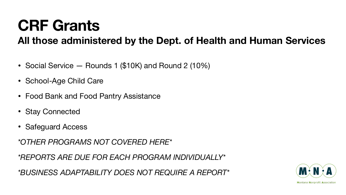- Social Service Rounds 1 (\$10K) and Round 2 (10%)
- School-Age Child Care
- Food Bank and Food Pantry Assistance
- Stay Connected
- Safeguard Access

*\*OTHER PROGRAMS NOT COVERED HERE\** 

*\*REPORTS ARE DUE FOR EACH PROGRAM INDIVIDUALLY\** 

*\*BUSINESS ADAPTABILITY DOES NOT REQUIRE A REPORT\**

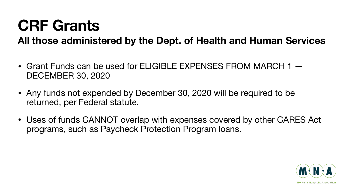- Grant Funds can be used for ELIGIBLE EXPENSES FROM MARCH 1  $-$ DECEMBER 30, 2020
- Any funds not expended by December 30, 2020 will be required to be returned, per Federal statute.
- programs, such as Paycheck Protection Program loans.

• Uses of funds CANNOT overlap with expenses covered by other CARES Act

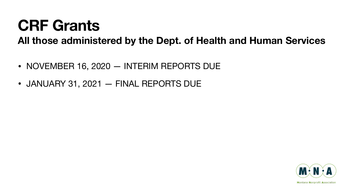- NOVEMBER 16, 2020 INTERIM REPORTS DUE
- JANUARY 31, 2021 FINAL REPORTS DUE



**Montana Nonprofit Association** 

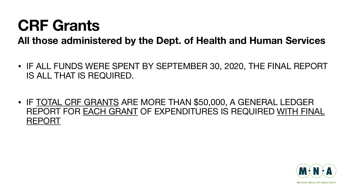#### • IF ALL FUNDS WERE SPENT BY SEPTEMBER 30, 2020, THE FINAL REPORT

- IS ALL THAT IS REQUIRED.
- REPORT

#### • IF TOTAL CRF GRANTS ARE MORE THAN \$50,000, A GENERAL LEDGER REPORT FOR EACH GRANT OF EXPENDITURES IS REQUIRED WITH FINAL

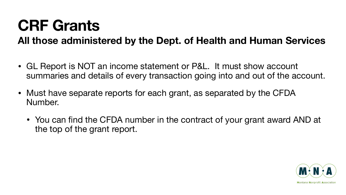- GL Report is NOT an income statement or P&L. It must show account summaries and details of every transaction going into and out of the account.
- Must have separate reports for each grant, as separated by the CFDA Number.
	- You can find the CFDA number in the contract of your grant award AND at the top of the grant report.

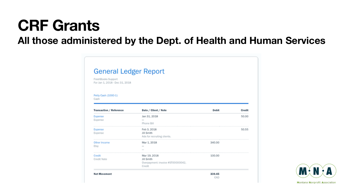| <b>General Ledger Report</b>                         |                                                                                                                                                                                                                                                                                                                                                                                                                                                                                                          |        |        |
|------------------------------------------------------|----------------------------------------------------------------------------------------------------------------------------------------------------------------------------------------------------------------------------------------------------------------------------------------------------------------------------------------------------------------------------------------------------------------------------------------------------------------------------------------------------------|--------|--------|
| FreshBooks Support<br>For Jan 1, 2018 - Dec 31, 2018 |                                                                                                                                                                                                                                                                                                                                                                                                                                                                                                          |        |        |
| Petty Cash (1000-1)<br>Cash                          |                                                                                                                                                                                                                                                                                                                                                                                                                                                                                                          |        |        |
| Transaction / Reference                              | Date / Client / Note                                                                                                                                                                                                                                                                                                                                                                                                                                                                                     | Debit  | Credit |
| Expense<br>Expense                                   | Jan 31, 2018<br>$\frac{1}{2} \left( \frac{1}{2} \right) \left( \frac{1}{2} \right) \left( \frac{1}{2} \right) \left( \frac{1}{2} \right) \left( \frac{1}{2} \right) \left( \frac{1}{2} \right) \left( \frac{1}{2} \right) \left( \frac{1}{2} \right) \left( \frac{1}{2} \right) \left( \frac{1}{2} \right) \left( \frac{1}{2} \right) \left( \frac{1}{2} \right) \left( \frac{1}{2} \right) \left( \frac{1}{2} \right) \left( \frac{1}{2} \right) \left( \frac{1}{2} \right) \left( \frac$<br>Phone Bill |        | 50.00  |
| Expense<br>Expense                                   | Feb 3, 2018<br>Jill Smith<br>Ads for recruiting clients.                                                                                                                                                                                                                                                                                                                                                                                                                                                 |        | 50.55  |
| Other Income<br>Etsy                                 | Mar 1, 2018<br>$\frac{1}{2} \left( \frac{1}{2} \right) \left( \frac{1}{2} \right) \left( \frac{1}{2} \right)$                                                                                                                                                                                                                                                                                                                                                                                            | 340.00 |        |
| Credit<br>Credit Note                                | Mar 19, 2018<br>Jill Smith<br>Overpayment: invoice #ST00000042,<br>Credit                                                                                                                                                                                                                                                                                                                                                                                                                                | 100.00 |        |
| <b>Net Movement</b>                                  |                                                                                                                                                                                                                                                                                                                                                                                                                                                                                                          | 339.45 |        |

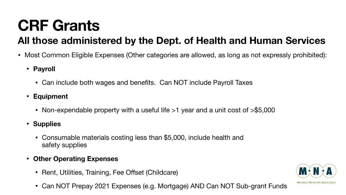- - **• Payroll** 
		- Can include both wages and benefits. Can NOT include Payroll Taxes
	- **• Equipment** 
		- Non-expendable property with a useful life >1 year and a unit cost of >\$5,000
	- **• Supplies** 
		- Consumable materials costing less than \$5,000, include health and safety supplies
	- **• Other Operating Expenses** 
		- Rent, Utilities, Training, Fee Offset (Childcare)
		-

• Most Common Eligible Expenses (Other categories are allowed, as long as not expressly prohibited):



• Can NOT Prepay 2021 Expenses (e.g. Mortgage) AND Can NOT Sub-grant Funds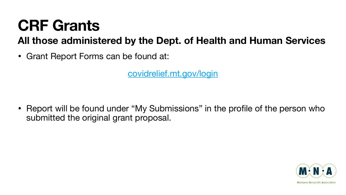• Grant Report Forms can be found at:

[covidrelief.mt.gov/login](http://covidrelief.mt.gov/login)

submitted the original grant proposal.

• Report will be found under "My Submissions" in the profile of the person who

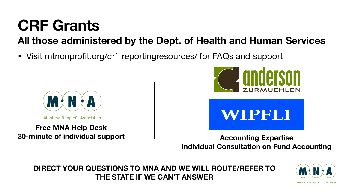Visit [mtnonprofit.org/crf\\_reportingresources/](http://mtnonprofit.org/crf_reportingresources/) for FAQs and support



**Montana Nonprofit Association** 

#### **30-minute of individual support Accounting Expertise Individual Consultation on Fund Accounting**



Montana Nonprofit **A**ssociatior



# **Free MNA Help Desk**

#### **DIRECT YOUR QUESTIONS TO MNA AND WE WILL ROUTE/REFER TO THE STATE IF WE CAN'T ANSWER**



# WIPHI.I